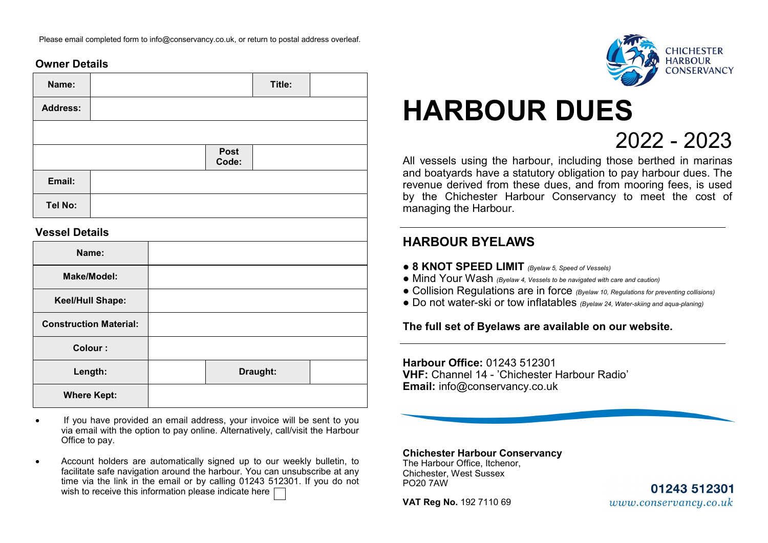Please email completed form to info@conservancy.co.uk, or return to postal address overleaf.

## **Owner Details**

| Name:           |               | Title: |  |
|-----------------|---------------|--------|--|
| <b>Address:</b> |               |        |  |
|                 |               |        |  |
|                 | Post<br>Code: |        |  |
| Email:          |               |        |  |
| Tel No:         |               |        |  |

#### **Vessel Details**

| Name:                         |          |  |
|-------------------------------|----------|--|
| <b>Make/Model:</b>            |          |  |
| Keel/Hull Shape:              |          |  |
| <b>Construction Material:</b> |          |  |
| Colour:                       |          |  |
| Length:                       | Draught: |  |
| <b>Where Kept:</b>            |          |  |

- If you have provided an email address, your invoice will be sent to you via email with the option to pay online. Alternatively, call/visit the Harbour Office to pay.
- Account holders are automatically signed up to our weekly bulletin, to facilitate safe navigation around the harbour. You can unsubscribe at any time via the link in the email or by calling 01243 512301. If you do not wish to receive this information please indicate here  $\Box$



# 2022 - 2023 **HARBOUR DUES**

All vessels using the harbour, including those berthed in marinas and boatyards have a statutory obligation to pay harbour dues. The revenue derived from these dues, and from mooring fees, is used by the Chichester Harbour Conservancy to meet the cost of managing the Harbour.

## **HARBOUR BYELAWS**

- **8 KNOT SPEED LIMIT** *(Byelaw 5, Speed of Vessels)*
- Mind Your Wash *(Byelaw 4, Vessels to be navigated with care and caution)*
- Collision Regulations are in force *(Byelaw 10, Regulations for preventing collisions)*
- Do not water-ski or tow inflatables *(Byelaw 24, Water-skiing and aqua-planing)*

**The full set of Byelaws are available on our website.**

**Harbour Office:** 01243 512301 **VHF:** Channel 14 - 'Chichester Harbour Radio' **Email:** info@conservancy.co.uk

**Chichester Harbour Conservancy** The Harbour Office, Itchenor, Chichester, West Sussex PO20 7AW

**VAT Reg No.** 192 7110 69

01243 512301 www.conservancy.co.uk